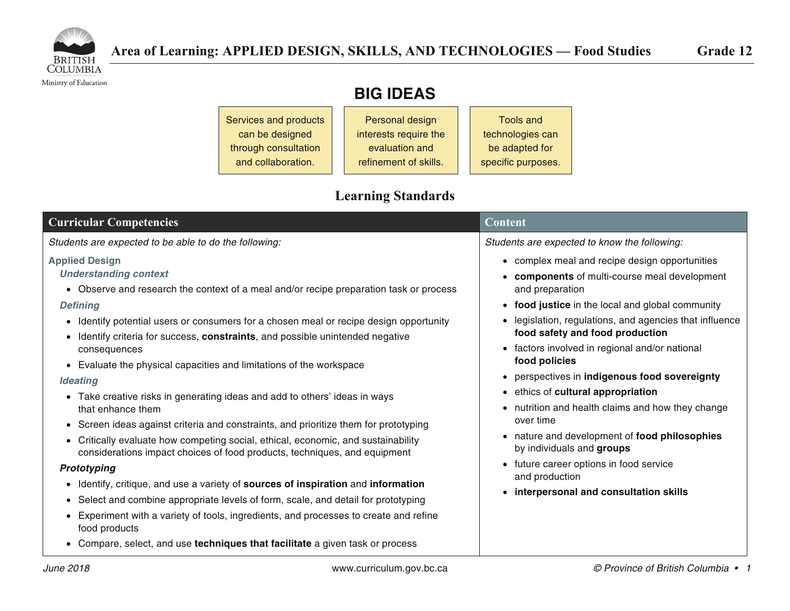

Ministry of Education

| <b>BIG IDEAS</b> |  |
|------------------|--|
|------------------|--|

Services and products can be designed through consultation and collaboration. Personal design interests require the evaluation and refinement of skills. Tools and technologies can be adapted for specific purposes.

# **Learning Standards**

| <b>Curricular Competencies</b>                                                                                                                                                                                                                                                                                                                                                                                                                                                                                                                                                                                                                                                                                                                                                                                                                                                                                                                                                                                                                                                                                                                                                                           | <b>Content</b>                                                                                                                                                                                                                                                                                                                                                                                                                                                                                                                                                                                                                                                                       |
|----------------------------------------------------------------------------------------------------------------------------------------------------------------------------------------------------------------------------------------------------------------------------------------------------------------------------------------------------------------------------------------------------------------------------------------------------------------------------------------------------------------------------------------------------------------------------------------------------------------------------------------------------------------------------------------------------------------------------------------------------------------------------------------------------------------------------------------------------------------------------------------------------------------------------------------------------------------------------------------------------------------------------------------------------------------------------------------------------------------------------------------------------------------------------------------------------------|--------------------------------------------------------------------------------------------------------------------------------------------------------------------------------------------------------------------------------------------------------------------------------------------------------------------------------------------------------------------------------------------------------------------------------------------------------------------------------------------------------------------------------------------------------------------------------------------------------------------------------------------------------------------------------------|
| Students are expected to be able to do the following:                                                                                                                                                                                                                                                                                                                                                                                                                                                                                                                                                                                                                                                                                                                                                                                                                                                                                                                                                                                                                                                                                                                                                    | Students are expected to know the following:                                                                                                                                                                                                                                                                                                                                                                                                                                                                                                                                                                                                                                         |
| <b>Applied Design</b><br><b>Understanding context</b><br>• Observe and research the context of a meal and/or recipe preparation task or process<br><b>Defining</b><br>• Identify potential users or consumers for a chosen meal or recipe design opportunity<br>• Identify criteria for success, constraints, and possible unintended negative<br>consequences<br>• Evaluate the physical capacities and limitations of the workspace<br><b>Ideating</b><br>• Take creative risks in generating ideas and add to others' ideas in ways<br>that enhance them<br>• Screen ideas against criteria and constraints, and prioritize them for prototyping<br>• Critically evaluate how competing social, ethical, economic, and sustainability<br>considerations impact choices of food products, techniques, and equipment<br>Prototyping<br>• Identify, critique, and use a variety of sources of inspiration and information<br>• Select and combine appropriate levels of form, scale, and detail for prototyping<br>Experiment with a variety of tools, ingredients, and processes to create and refine<br>food products<br>• Compare, select, and use techniques that facilitate a given task or process | • complex meal and recipe design opportunities<br>• components of multi-course meal development<br>and preparation<br>• food justice in the local and global community<br>legislation, regulations, and agencies that influence<br>food safety and food production<br>• factors involved in regional and/or national<br>food policies<br>• perspectives in indigenous food sovereignty<br>• ethics of cultural appropriation<br>• nutrition and health claims and how they change<br>over time<br>• nature and development of food philosophies<br>by individuals and groups<br>• future career options in food service<br>and production<br>• interpersonal and consultation skills |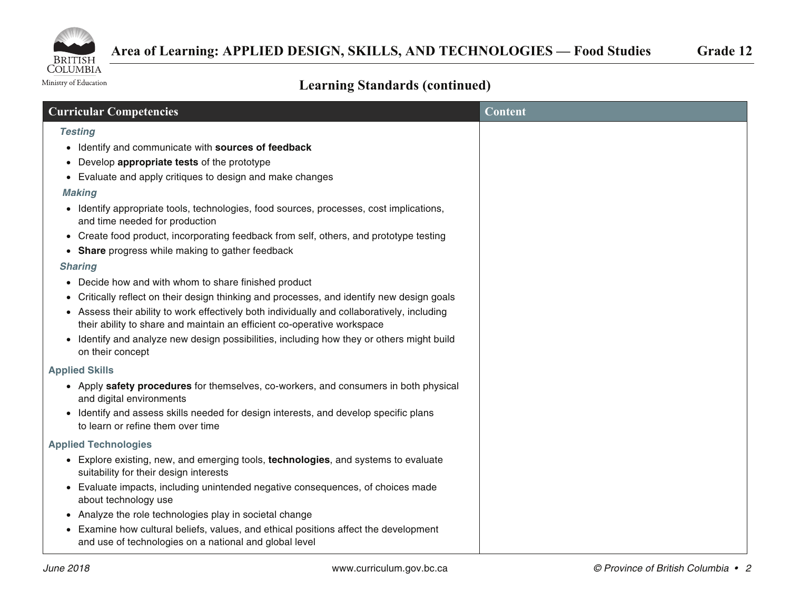

Ministry of Education

# **Learning Standards (continued)**

| <b>Curricular Competencies</b>                                                                                                                                       | <b>Content</b> |
|----------------------------------------------------------------------------------------------------------------------------------------------------------------------|----------------|
| <b>Testing</b>                                                                                                                                                       |                |
| • Identify and communicate with sources of feedback                                                                                                                  |                |
| Develop appropriate tests of the prototype                                                                                                                           |                |
| Evaluate and apply critiques to design and make changes                                                                                                              |                |
| <b>Making</b>                                                                                                                                                        |                |
| • Identify appropriate tools, technologies, food sources, processes, cost implications,<br>and time needed for production                                            |                |
| • Create food product, incorporating feedback from self, others, and prototype testing                                                                               |                |
| Share progress while making to gather feedback                                                                                                                       |                |
| <b>Sharing</b>                                                                                                                                                       |                |
| Decide how and with whom to share finished product<br>$\bullet$                                                                                                      |                |
| Critically reflect on their design thinking and processes, and identify new design goals<br>$\bullet$                                                                |                |
| Assess their ability to work effectively both individually and collaboratively, including<br>their ability to share and maintain an efficient co-operative workspace |                |
| • Identify and analyze new design possibilities, including how they or others might build<br>on their concept                                                        |                |
| <b>Applied Skills</b>                                                                                                                                                |                |
| • Apply safety procedures for themselves, co-workers, and consumers in both physical<br>and digital environments                                                     |                |
| Identify and assess skills needed for design interests, and develop specific plans<br>$\bullet$<br>to learn or refine them over time                                 |                |
| <b>Applied Technologies</b>                                                                                                                                          |                |
| • Explore existing, new, and emerging tools, technologies, and systems to evaluate<br>suitability for their design interests                                         |                |
| Evaluate impacts, including unintended negative consequences, of choices made<br>about technology use                                                                |                |
| • Analyze the role technologies play in societal change                                                                                                              |                |
| Examine how cultural beliefs, values, and ethical positions affect the development<br>$\bullet$<br>and use of technologies on a national and global level            |                |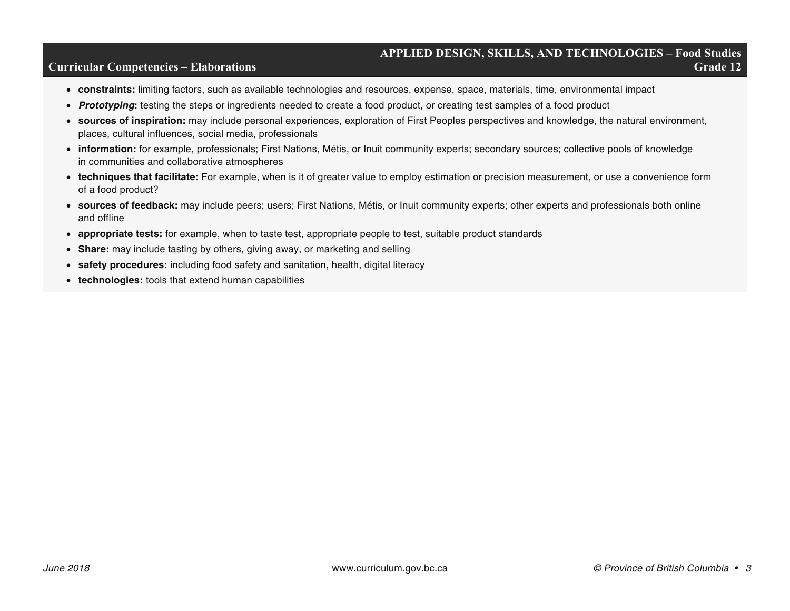### **APPLIED DESIGN, SKILLS, AND TECHNOLOGIES – Food Studies Curricular Competencies – Elaborations Grade 12 Grade 12 Grade 12**

- **constraints:** limiting factors, such as available technologies and resources, expense, space, materials, time, environmental impact
- *Prototyping***:** testing the steps or ingredients needed to create a food product, or creating test samples of a food product
- **sources of inspiration:** may include personal experiences, exploration of First Peoples perspectives and knowledge, the natural environment, places, cultural influences, social media, professionals
- **information:** for example, professionals; First Nations, Métis, or Inuit community experts; secondary sources; collective pools of knowledge in communities and collaborative atmospheres
- **techniques that facilitate:** For example, when is it of greater value to employ estimation or precision measurement, or use a convenience form of a food product?
- **sources of feedback:** may include peers; users; First Nations, Métis, or Inuit community experts; other experts and professionals both online and offline
- **appropriate tests:** for example, when to taste test, appropriate people to test, suitable product standards
- **Share:** may include tasting by others, giving away, or marketing and selling
- **safety procedures:** including food safety and sanitation, health, digital literacy
- **technologies:** tools that extend human capabilities